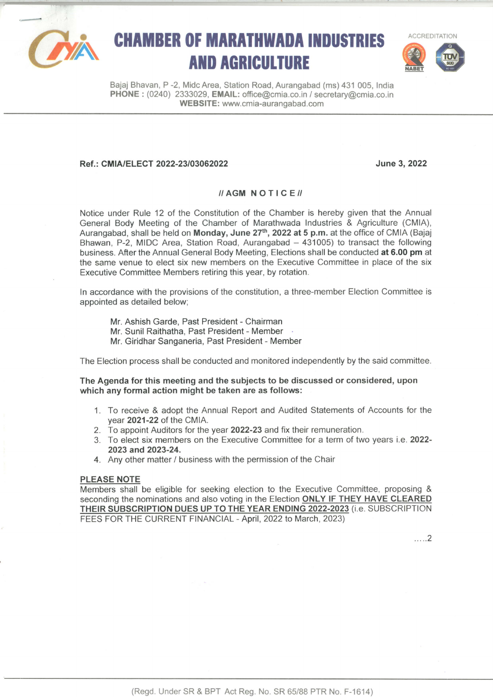

# **CHAMBER OF MARATHWADA INDUSTRIES AND AGRICULTURE**



Bajaj Bhavan, P -2, Midc Area, Station Road, Aurangabad (ms) 431 005, lndia PHONE : (0240) 2333029, EMAIL: office@cmia.co.in / secretary@cmia.co.in WEBSITE: www.cmia-aurangabad.com

## Ref.: CMIA/ELECT 2022-23/03062022 June 3, 2022

#### $\textit{II}$  AGM NOTICE $\textit{II}$

Notice under Rule 12 of the Constitution of the Chamber is hereby given that the Annual General Body Meeting of the Chamber of Marathwada lndustries & Agriculture (CMIA), Aurangabad, shall be held on Monday, June 27<sup>th</sup>, 2022 at 5 p.m. at the office of CMIA (Bajaj Bhawan, P-2, MIDC Area, Station Road, Aurangabad - 431005) to transact the following business. After the Annual General Body Meeting, Elections shall be conducted at 6.00 pm at the same venue to elect six new members on the Executive Committee in place of the six Executive Committee Members retiring this year, by rotation.

ln accordance with the provisions of the constitution, a three-member Election Committee is appointed as detailed below;

Mr. Ashish Garde, Past President - Chairman

- Mr. Sunil Raithatha, Past President Member
- Mr. Giridhar Sanganeria, Past President Member

The Election process shall be conducted and monitored independently by the said committee.

The Agenda for this meeting and the subjects to be discussed or considered, upon which any formal action might be taken are as follows:

- 1. To receive & adopt the Annual Report and Audited Statements of Accounts for the year 2021-22 of the CMIA.
- 2. To appoint Auditors for the year 2022-23 and fix their remuneration.
- 3. To elect six members on the Executive Committee for a term of two years i.e. 2022- 2023 and 2023-24.
- 4. Any other matter / business with the permission of the Chair

#### PLEASE NOTE

Members shall be eligible for seeking election to the Executive Committee, proposing & seconding the nominations and also voting in the Election ONLY IF THEY HAVE CLEARED THEIR SUBSCRIPTION DUES UP TO THE YEAR ENDING 2022-2023 (i.e. SUBSCRIPTION FEES FOR THE CURRENT FINANCIAL - April, 2022 to March, 2023)

...\_.2